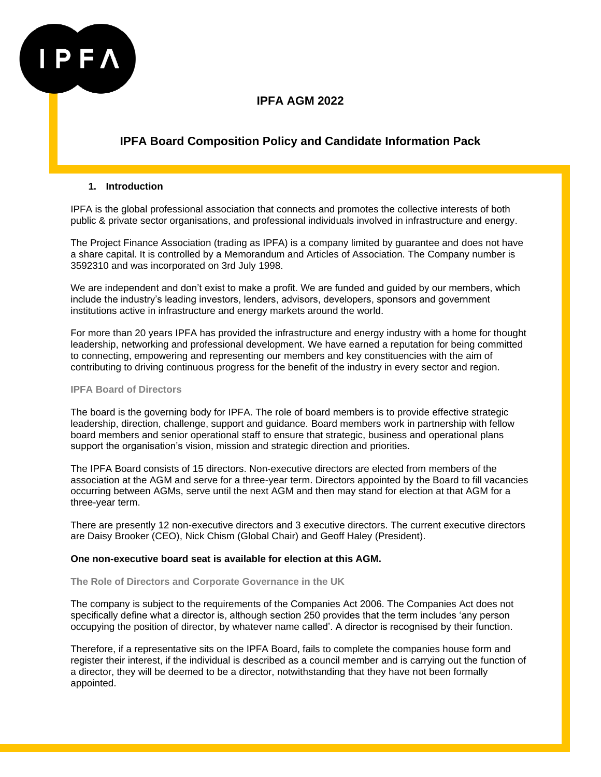

# **IPFA Board Composition Policy and Candidate Information Pack**

### **1. Introduction**

IPFA is the global professional association that connects and promotes the collective interests of both public & private sector organisations, and professional individuals involved in infrastructure and energy.

The Project Finance Association (trading as IPFA) is a company limited by guarantee and does not have a share capital. It is controlled by a Memorandum and Articles of Association. The Company number is 3592310 and was incorporated on 3rd July 1998.

We are independent and don't exist to make a profit. We are funded and guided by our members, which include the industry's leading investors, lenders, advisors, developers, sponsors and government institutions active in infrastructure and energy markets around the world.

For more than 20 years IPFA has provided the infrastructure and energy industry with a home for thought leadership, networking and professional development. We have earned a reputation for being committed to connecting, empowering and representing our members and key constituencies with the aim of contributing to driving continuous progress for the benefit of the industry in every sector and region.

#### **IPFA Board of Directors**

The board is the governing body for IPFA. The role of board members is to provide effective strategic leadership, direction, challenge, support and guidance. Board members work in partnership with fellow board members and senior operational staff to ensure that strategic, business and operational plans support the organisation's vision, mission and strategic direction and priorities.

The IPFA Board consists of 15 directors. Non-executive directors are elected from members of the association at the AGM and serve for a three-year term. Directors appointed by the Board to fill vacancies occurring between AGMs, serve until the next AGM and then may stand for election at that AGM for a three-year term.

There are presently 12 non-executive directors and 3 executive directors. The current executive directors are Daisy Brooker (CEO), Nick Chism (Global Chair) and Geoff Haley (President).

### **One non-executive board seat is available for election at this AGM.**

**The Role of Directors and Corporate Governance in the UK**

The company is subject to the requirements of the Companies Act 2006. The Companies Act does not specifically define what a director is, although section 250 provides that the term includes 'any person occupying the position of director, by whatever name called'. A director is recognised by their function.

Therefore, if a representative sits on the IPFA Board, fails to complete the companies house form and register their interest, if the individual is described as a council member and is carrying out the function of a director, they will be deemed to be a director, notwithstanding that they have not been formally appointed.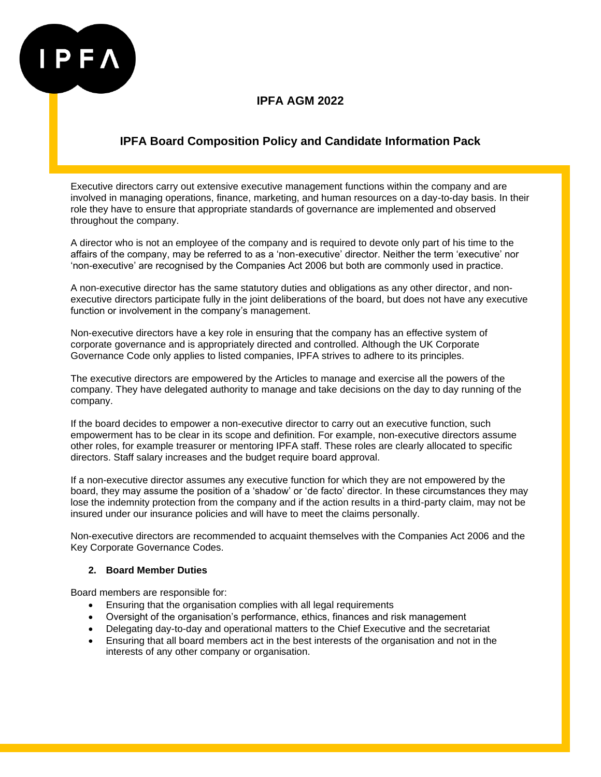

# **IPFA Board Composition Policy and Candidate Information Pack**

Executive directors carry out extensive executive management functions within the company and are involved in managing operations, finance, marketing, and human resources on a day-to-day basis. In their role they have to ensure that appropriate standards of governance are implemented and observed throughout the company.

A director who is not an employee of the company and is required to devote only part of his time to the affairs of the company, may be referred to as a 'non-executive' director. Neither the term 'executive' nor 'non-executive' are recognised by the Companies Act 2006 but both are commonly used in practice.

A non-executive director has the same statutory duties and obligations as any other director, and nonexecutive directors participate fully in the joint deliberations of the board, but does not have any executive function or involvement in the company's management.

Non-executive directors have a key role in ensuring that the company has an effective system of corporate governance and is appropriately directed and controlled. Although the UK Corporate Governance Code only applies to listed companies, IPFA strives to adhere to its principles.

The executive directors are empowered by the Articles to manage and exercise all the powers of the company. They have delegated authority to manage and take decisions on the day to day running of the company.

If the board decides to empower a non-executive director to carry out an executive function, such empowerment has to be clear in its scope and definition. For example, non-executive directors assume other roles, for example treasurer or mentoring IPFA staff. These roles are clearly allocated to specific directors. Staff salary increases and the budget require board approval.

If a non-executive director assumes any executive function for which they are not empowered by the board, they may assume the position of a 'shadow' or 'de facto' director. In these circumstances they may lose the indemnity protection from the company and if the action results in a third-party claim, may not be insured under our insurance policies and will have to meet the claims personally.

Non-executive directors are recommended to acquaint themselves with the Companies Act 2006 and the Key Corporate Governance Codes.

### **2. Board Member Duties**

Board members are responsible for:

- Ensuring that the organisation complies with all legal requirements
- Oversight of the organisation's performance, ethics, finances and risk management
- Delegating day-to-day and operational matters to the Chief Executive and the secretariat
- Ensuring that all board members act in the best interests of the organisation and not in the interests of any other company or organisation.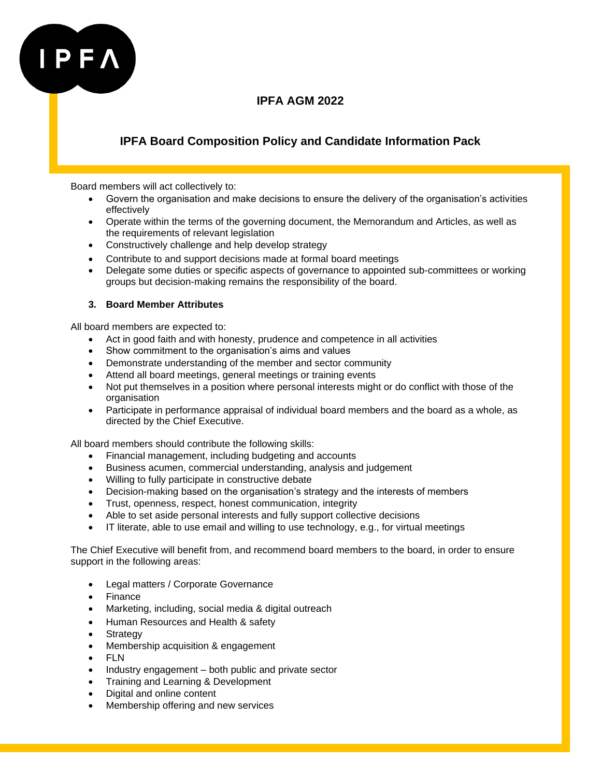

# **IPFA Board Composition Policy and Candidate Information Pack**

Board members will act collectively to:

- Govern the organisation and make decisions to ensure the delivery of the organisation's activities effectively
- Operate within the terms of the governing document, the Memorandum and Articles, as well as the requirements of relevant legislation
- Constructively challenge and help develop strategy
- Contribute to and support decisions made at formal board meetings
- Delegate some duties or specific aspects of governance to appointed sub-committees or working groups but decision-making remains the responsibility of the board.

### **3. Board Member Attributes**

All board members are expected to:

- Act in good faith and with honesty, prudence and competence in all activities
- Show commitment to the organisation's aims and values
- Demonstrate understanding of the member and sector community
- Attend all board meetings, general meetings or training events
- Not put themselves in a position where personal interests might or do conflict with those of the organisation
- Participate in performance appraisal of individual board members and the board as a whole, as directed by the Chief Executive.

All board members should contribute the following skills:

- Financial management, including budgeting and accounts
- Business acumen, commercial understanding, analysis and judgement
- Willing to fully participate in constructive debate
- Decision-making based on the organisation's strategy and the interests of members
- Trust, openness, respect, honest communication, integrity
- Able to set aside personal interests and fully support collective decisions
- IT literate, able to use email and willing to use technology, e.g., for virtual meetings

The Chief Executive will benefit from, and recommend board members to the board, in order to ensure support in the following areas:

- Legal matters / Corporate Governance
- Finance
- Marketing, including, social media & digital outreach
- Human Resources and Health & safety
- **Strategy**
- Membership acquisition & engagement
- FLN
- Industry engagement both public and private sector
- Training and Learning & Development
- Digital and online content
- Membership offering and new services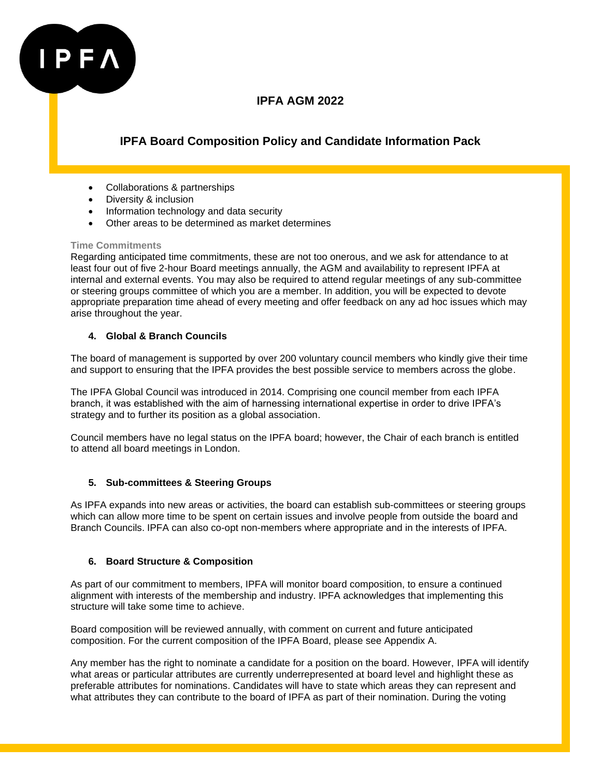

# **IPFA Board Composition Policy and Candidate Information Pack**

- Collaborations & partnerships
- Diversity & inclusion
- Information technology and data security
- Other areas to be determined as market determines

### **Time Commitments**

Regarding anticipated time commitments, these are not too onerous, and we ask for attendance to at least four out of five 2-hour Board meetings annually, the AGM and availability to represent IPFA at internal and external events. You may also be required to attend regular meetings of any sub-committee or steering groups committee of which you are a member. In addition, you will be expected to devote appropriate preparation time ahead of every meeting and offer feedback on any ad hoc issues which may arise throughout the year.

### **4. Global & Branch Councils**

The board of management is supported by over 200 voluntary council members who kindly give their time and support to ensuring that the IPFA provides the best possible service to members across the globe.

The IPFA Global Council was introduced in 2014. Comprising one council member from each IPFA branch, it was established with the aim of harnessing international expertise in order to drive IPFA's strategy and to further its position as a global association.

Council members have no legal status on the IPFA board; however, the Chair of each branch is entitled to attend all board meetings in London.

### **5. Sub-committees & Steering Groups**

As IPFA expands into new areas or activities, the board can establish sub-committees or steering groups which can allow more time to be spent on certain issues and involve people from outside the board and Branch Councils. IPFA can also co-opt non-members where appropriate and in the interests of IPFA.

### **6. Board Structure & Composition**

As part of our commitment to members, IPFA will monitor board composition, to ensure a continued alignment with interests of the membership and industry. IPFA acknowledges that implementing this structure will take some time to achieve.

Board composition will be reviewed annually, with comment on current and future anticipated composition. For the current composition of the IPFA Board, please see Appendix A.

Any member has the right to nominate a candidate for a position on the board. However, IPFA will identify what areas or particular attributes are currently underrepresented at board level and highlight these as preferable attributes for nominations. Candidates will have to state which areas they can represent and what attributes they can contribute to the board of IPFA as part of their nomination. During the voting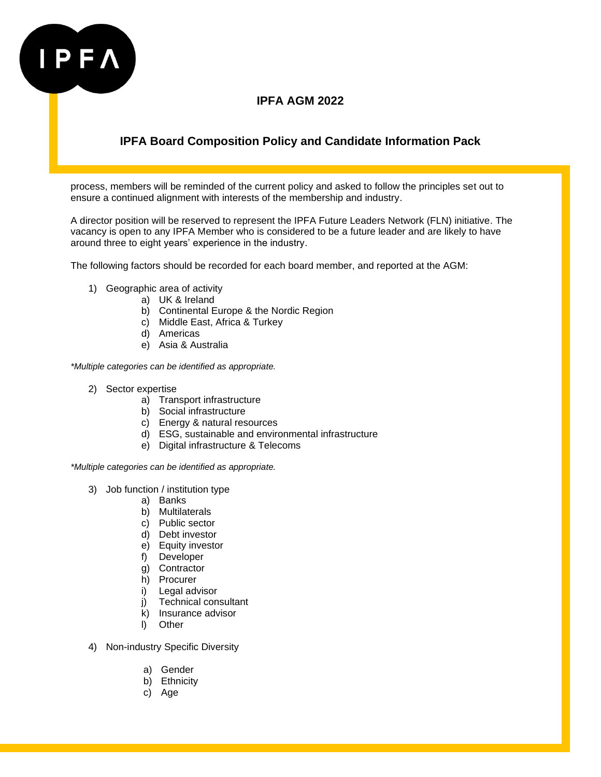

# **IPFA Board Composition Policy and Candidate Information Pack**

process, members will be reminded of the current policy and asked to follow the principles set out to ensure a continued alignment with interests of the membership and industry.

A director position will be reserved to represent the IPFA Future Leaders Network (FLN) initiative. The vacancy is open to any IPFA Member who is considered to be a future leader and are likely to have around three to eight years' experience in the industry.

The following factors should be recorded for each board member, and reported at the AGM:

- 1) Geographic area of activity
	- a) UK & Ireland
	- b) Continental Europe & the Nordic Region
	- c) Middle East, Africa & Turkey
	- d) Americas
	- e) Asia & Australia

*\*Multiple categories can be identified as appropriate.*

- 2) Sector expertise
	- a) Transport infrastructure
	- b) Social infrastructure
	- c) Energy & natural resources
	- d) ESG, sustainable and environmental infrastructure
	- e) Digital infrastructure & Telecoms

*\*Multiple categories can be identified as appropriate.*

- 3) Job function / institution type
	- a) Banks
	- b) Multilaterals
	- c) Public sector
	- d) Debt investor
	- e) Equity investor
	- f) Developer
	- g) Contractor
	- h) Procurer
	- i) Legal advisor
	- j) Technical consultant
	- k) Insurance advisor
	- l) Other
- 4) Non-industry Specific Diversity
	- a) Gender
	- b) Ethnicity
	- c) Age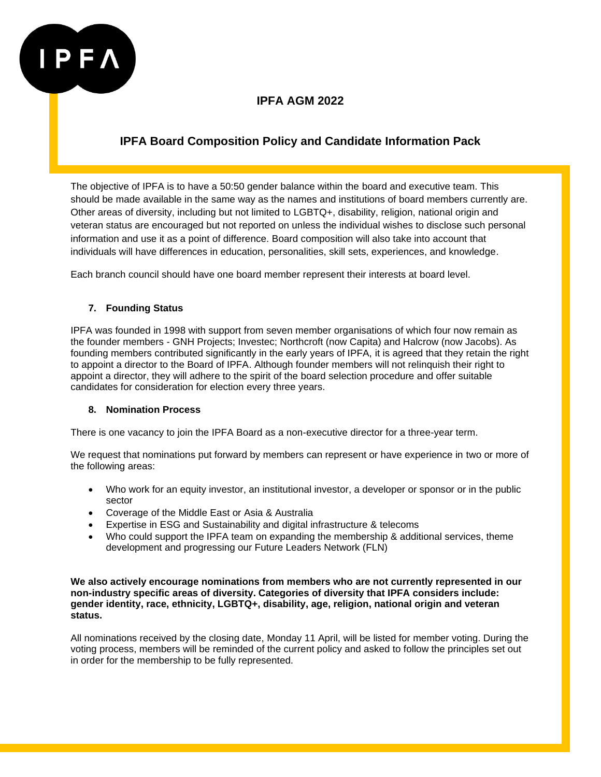

# **IPFA Board Composition Policy and Candidate Information Pack**

The objective of IPFA is to have a 50:50 gender balance within the board and executive team. This should be made available in the same way as the names and institutions of board members currently are. Other areas of diversity, including but not limited to LGBTQ+, disability, religion, national origin and veteran status are encouraged but not reported on unless the individual wishes to disclose such personal information and use it as a point of difference. Board composition will also take into account that individuals will have differences in education, personalities, skill sets, experiences, and knowledge.

Each branch council should have one board member represent their interests at board level.

### **7. Founding Status**

IPFA was founded in 1998 with support from seven member organisations of which four now remain as the founder members - GNH Projects; Investec; Northcroft (now Capita) and Halcrow (now Jacobs). As founding members contributed significantly in the early years of IPFA, it is agreed that they retain the right to appoint a director to the Board of IPFA. Although founder members will not relinquish their right to appoint a director, they will adhere to the spirit of the board selection procedure and offer suitable candidates for consideration for election every three years.

### **8. Nomination Process**

There is one vacancy to join the IPFA Board as a non-executive director for a three-year term.

We request that nominations put forward by members can represent or have experience in two or more of the following areas:

- Who work for an equity investor, an institutional investor, a developer or sponsor or in the public sector
- Coverage of the Middle East or Asia & Australia
- Expertise in ESG and Sustainability and digital infrastructure & telecoms
- Who could support the IPFA team on expanding the membership & additional services, theme development and progressing our Future Leaders Network (FLN)

**We also actively encourage nominations from members who are not currently represented in our non-industry specific areas of diversity. Categories of diversity that IPFA considers include: gender identity, race, ethnicity, LGBTQ+, disability, age, religion, national origin and veteran status.**

All nominations received by the closing date, Monday 11 April, will be listed for member voting. During the voting process, members will be reminded of the current policy and asked to follow the principles set out in order for the membership to be fully represented.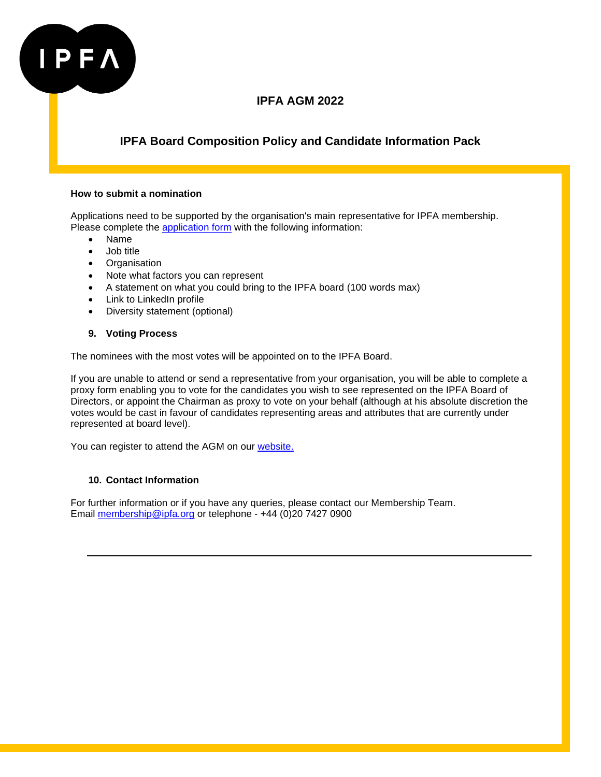

# **IPFA Board Composition Policy and Candidate Information Pack**

### **How to submit a nomination**

Applications need to be supported by the organisation's main representative for IPFA membership. Please complete the [application form](https://www.surveymonkey.co.uk/r/BoardNoms2022) with the following information:

- Name
- Job title
- Organisation
- Note what factors you can represent
- A statement on what you could bring to the IPFA board (100 words max)
- Link to LinkedIn profile
- Diversity statement (optional)

### **9. Voting Process**

The nominees with the most votes will be appointed on to the IPFA Board.

If you are unable to attend or send a representative from your organisation, you will be able to complete a proxy form enabling you to vote for the candidates you wish to see represented on the IPFA Board of Directors, or appoint the Chairman as proxy to vote on your behalf (although at his absolute discretion the votes would be cast in favour of candidates representing areas and attributes that are currently under represented at board level).

You can register to attend the AGM on our [website.](https://ipfa-portal.smartmembership.net/Events/eventdetail.aspx?si_ec=000894)

### **10. Contact Information**

For further information or if you have any queries, please contact our Membership Team. Email [membership@ipfa.org](mailto:membership@ipfa.org) or telephone - +44 (0)20 7427 0900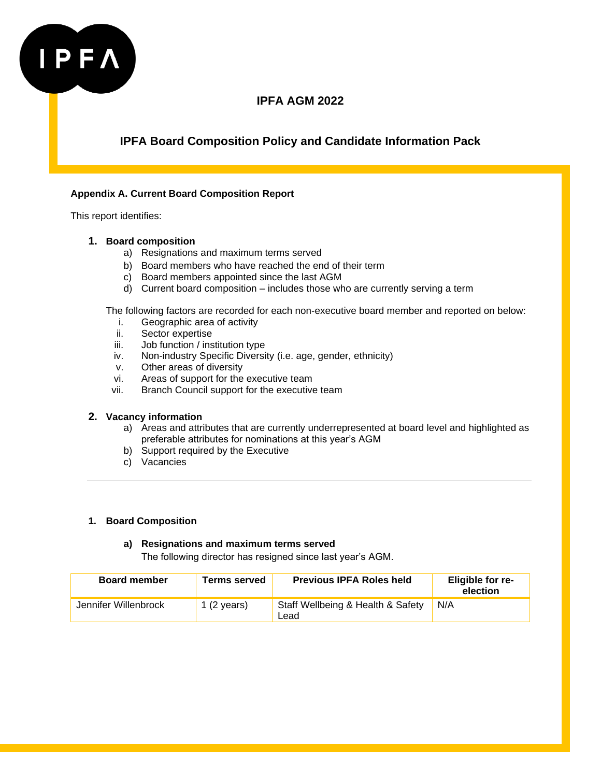

# **IPFA Board Composition Policy and Candidate Information Pack**

### **Appendix A. Current Board Composition Report**

This report identifies:

### **1. Board composition**

- a) Resignations and maximum terms served
- b) Board members who have reached the end of their term
- c) Board members appointed since the last AGM
- d) Current board composition includes those who are currently serving a term

The following factors are recorded for each non-executive board member and reported on below:

- i. Geographic area of activity
- ii. Sector expertise
- iii. Job function / institution type
- iv. Non-industry Specific Diversity (i.e. age, gender, ethnicity)
- v. Other areas of diversity
- vi. Areas of support for the executive team
- vii. Branch Council support for the executive team

### **2. Vacancy information**

- a) Areas and attributes that are currently underrepresented at board level and highlighted as preferable attributes for nominations at this year's AGM
- b) Support required by the Executive
- c) Vacancies

### **1. Board Composition**

### **a) Resignations and maximum terms served**

The following director has resigned since last year's AGM.

| <b>Board member</b>  | <b>Terms served</b>   | <b>Previous IPFA Roles held</b>           | Eligible for re-<br>election |
|----------------------|-----------------------|-------------------------------------------|------------------------------|
| Jennifer Willenbrock | 1 $(2 \text{ years})$ | Staff Wellbeing & Health & Safety<br>Lead | N/A                          |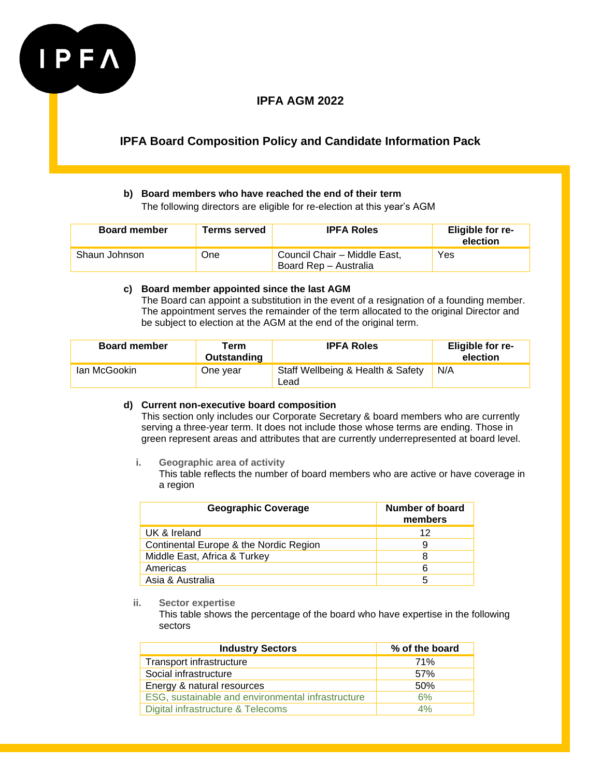

# **IPFA Board Composition Policy and Candidate Information Pack**

### **b) Board members who have reached the end of their term**

The following directors are eligible for re-election at this year's AGM

| <b>Board member</b> | <b>Terms served</b> | <b>IPFA Roles</b>                                     | Eligible for re-<br>election |
|---------------------|---------------------|-------------------------------------------------------|------------------------------|
| Shaun Johnson       | One                 | Council Chair - Middle East,<br>Board Rep - Australia | Yes                          |

### **c) Board member appointed since the last AGM**

The Board can appoint a substitution in the event of a resignation of a founding member. The appointment serves the remainder of the term allocated to the original Director and be subject to election at the AGM at the end of the original term.

| <b>Board member</b> | Term<br>Outstanding | <b>IPFA Roles</b>                         | Eligible for re-<br>election |
|---------------------|---------------------|-------------------------------------------|------------------------------|
| lan McGookin        | One year            | Staff Wellbeing & Health & Safety<br>Lead | N/A                          |

### **d) Current non-executive board composition**

This section only includes our Corporate Secretary & board members who are currently serving a three-year term. It does not include those whose terms are ending. Those in green represent areas and attributes that are currently underrepresented at board level.

### **i. Geographic area of activity**

This table reflects the number of board members who are active or have coverage in a region

| <b>Geographic Coverage</b>             | Number of board<br>members |
|----------------------------------------|----------------------------|
| UK & Ireland                           | 12                         |
| Continental Europe & the Nordic Region | 9                          |
| Middle East, Africa & Turkey           | 8                          |
| Americas                               | 6                          |
| Asia & Australia                       | 5                          |

### **ii. Sector expertise**

This table shows the percentage of the board who have expertise in the following sectors

| <b>Industry Sectors</b>                           | % of the board |
|---------------------------------------------------|----------------|
| Transport infrastructure                          | 71%            |
| Social infrastructure                             | .57%           |
| Energy & natural resources                        | 50%            |
| ESG, sustainable and environmental infrastructure | 6%             |
| Digital infrastructure & Telecoms                 | 4%             |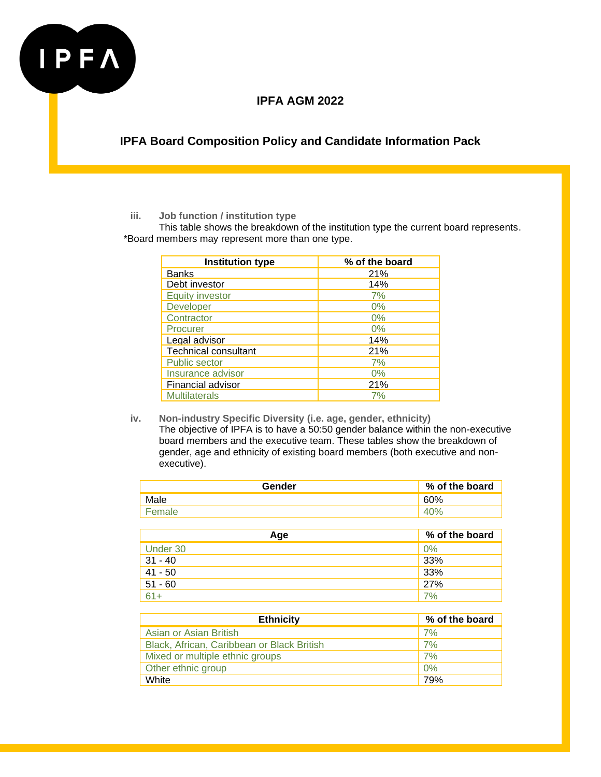

**IPFA Board Composition Policy and Candidate Information Pack**

### **iii. Job function / institution type**

This table shows the breakdown of the institution type the current board represents. \*Board members may represent more than one type.

| <b>Institution type</b>     | % of the board |
|-----------------------------|----------------|
| <b>Banks</b>                | 21%            |
| Debt investor               | 14%            |
| <b>Equity investor</b>      | 7%             |
| <b>Developer</b>            | $0\%$          |
| Contractor                  | 0%             |
| Procurer                    | 0%             |
| Legal advisor               | 14%            |
| <b>Technical consultant</b> | 21%            |
| <b>Public sector</b>        | 7%             |
| Insurance advisor           | 0%             |
| Financial advisor           | 21%            |
| <b>Multilaterals</b>        | 7%             |

**iv. Non-industry Specific Diversity (i.e. age, gender, ethnicity)**  The objective of IPFA is to have a 50:50 gender balance within the non-executive board members and the executive team. These tables show the breakdown of gender, age and ethnicity of existing board members (both executive and nonexecutive).

| Gender | % of the board |
|--------|----------------|
| Male   | 60%            |
|        |                |

| Age              | % of the board |
|------------------|----------------|
| Under 30         | 0%             |
| $31 - 40$        | 33%            |
| $41 - 50$        | 33%            |
| $51 - 60$        | 27%            |
| $\overline{61+}$ | 7%             |

| <b>Ethnicity</b>                           | % of the board |
|--------------------------------------------|----------------|
| Asian or Asian British                     | 7%             |
| Black, African, Caribbean or Black British | 7%             |
| Mixed or multiple ethnic groups            | 7%             |
| Other ethnic group                         | 0%             |
| White                                      | 79%            |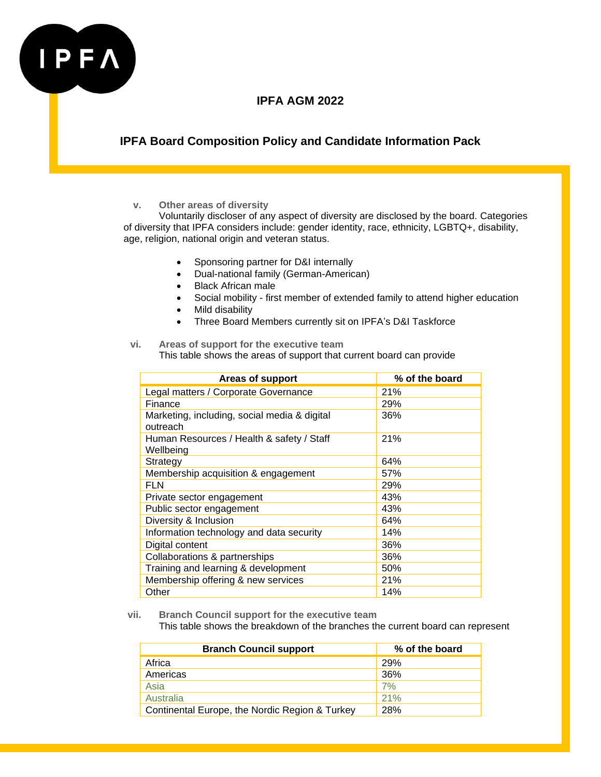

# **IPFA Board Composition Policy and Candidate Information Pack**

### **v. Other areas of diversity**

Voluntarily discloser of any aspect of diversity are disclosed by the board. Categories of diversity that IPFA considers include: gender identity, race, ethnicity, LGBTQ+, disability, age, religion, national origin and veteran status.

- Sponsoring partner for D&I internally
- Dual-national family (German-American)
- Black African male
- Social mobility first member of extended family to attend higher education
- Mild disability
- Three Board Members currently sit on IPFA's D&I Taskforce

### **vi. Areas of support for the executive team** This table shows the areas of support that current board can provide

| Areas of support                                         | % of the board |
|----------------------------------------------------------|----------------|
| Legal matters / Corporate Governance                     | 21%            |
| Finance                                                  | 29%            |
| Marketing, including, social media & digital<br>outreach | 36%            |
| Human Resources / Health & safety / Staff<br>Wellbeing   | 21%            |
| Strategy                                                 | 64%            |
| Membership acquisition & engagement                      | 57%            |
| <b>FLN</b>                                               | 29%            |
| Private sector engagement                                | 43%            |
| Public sector engagement                                 | 43%            |
| Diversity & Inclusion                                    | 64%            |
| Information technology and data security                 | 14%            |
| Digital content                                          | 36%            |
| Collaborations & partnerships                            | 36%            |
| Training and learning & development                      | 50%            |
| Membership offering & new services                       | 21%            |
| Other                                                    | 14%            |

**vii. Branch Council support for the executive team**

This table shows the breakdown of the branches the current board can represent

| <b>Branch Council support</b>                  | % of the board |
|------------------------------------------------|----------------|
| Africa                                         | 29%            |
| Americas                                       | 36%            |
| Asia                                           | 7%             |
| Australia                                      | 21%            |
| Continental Europe, the Nordic Region & Turkey | 28%            |